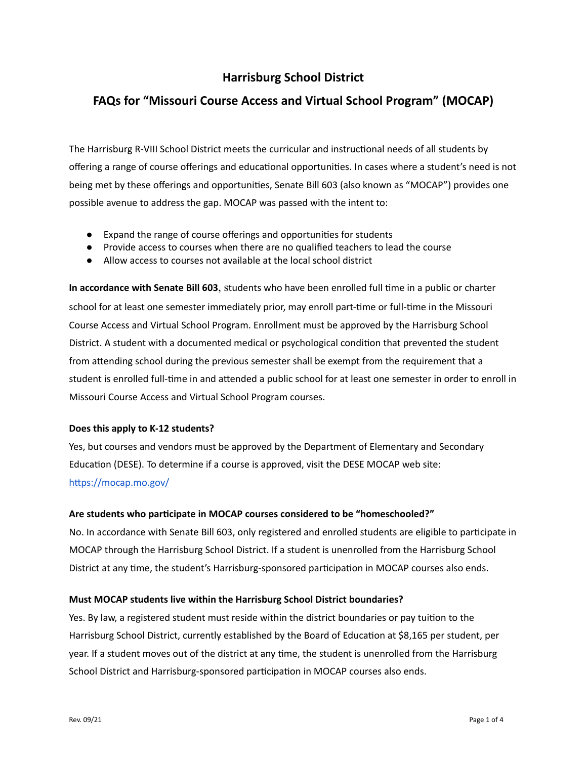# **Harrisburg School District**

# **FAQs for "Missouri Course Access and Virtual School Program" (MOCAP)**

The Harrisburg R-VIII School District meets the curricular and instructional needs of all students by offering a range of course offerings and educational opportunities. In cases where a student's need is not being met by these offerings and opportunities, Senate Bill 603 (also known as "MOCAP") provides one possible avenue to address the gap. MOCAP was passed with the intent to:

- Expand the range of course offerings and opportunities for students
- Provide access to courses when there are no qualified teachers to lead the course
- Allow access to courses not available at the local school district

**In accordance with Senate Bill 603**, students who have been enrolled full me in a public or charter school for at least one semester immediately prior, may enroll part-time or full-time in the Missouri Course Access and Virtual School Program. Enrollment must be approved by the Harrisburg School District. A student with a documented medical or psychological condition that prevented the student from attending school during the previous semester shall be exempt from the requirement that a student is enrolled full-time in and attended a public school for at least one semester in order to enroll in Missouri Course Access and Virtual School Program courses.

# **Does this apply to K-12 students?**

Yes, but courses and vendors must be approved by the Department of Elementary and Secondary Education (DESE). To determine if a course is approved, visit the DESE MOCAP web site[:](https://mocap.mo.gov/) https://mocap.mo.gov/

# **Are students who parcipate in MOCAP courses considered to be "homeschooled?"**

No. In accordance with Senate Bill 603, only registered and enrolled students are eligible to participate in MOCAP through the Harrisburg School District. If a student is unenrolled from the Harrisburg School District at any time, the student's Harrisburg-sponsored participation in MOCAP courses also ends.

# **Must MOCAP students live within the Harrisburg School District boundaries?**

Yes. By law, a registered student must reside within the district boundaries or pay tuition to the Harrisburg School District, currently established by the Board of Education at \$8,165 per student, per year. If a student moves out of the district at any time, the student is unenrolled from the Harrisburg School District and Harrisburg-sponsored participation in MOCAP courses also ends.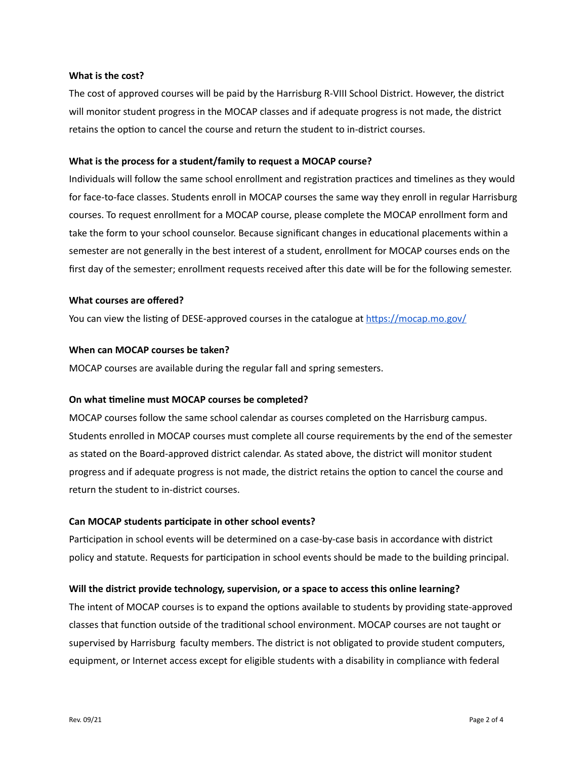#### **What is the cost?**

The cost of approved courses will be paid by the Harrisburg R-VIII School District. However, the district will monitor student progress in the MOCAP classes and if adequate progress is not made, the district retains the option to cancel the course and return the student to in-district courses.

#### **What is the process for a student/family to request a MOCAP course?**

Individuals will follow the same school enrollment and registration practices and timelines as they would for face-to-face classes. Students enroll in MOCAP courses the same way they enroll in regular Harrisburg courses. To request enrollment for a MOCAP course, please complete the MOCAP enrollment form and take the form to your school counselor. Because significant changes in educational placements within a semester are not generally in the best interest of a student, enrollment for MOCAP courses ends on the first day of the semester; enrollment requests received after this date will be for the following semester.

#### **What courses are offered?**

You can view the listing of DESE-approved courses in the catalogue at https://mocap.mo.gov/

#### **When can MOCAP courses be taken?**

MOCAP courses are available during the regular fall and spring semesters.

#### **On what meline must MOCAP courses be completed?**

MOCAP courses follow the same school calendar as courses completed on the Harrisburg campus. Students enrolled in MOCAP courses must complete all course requirements by the end of the semester as stated on the Board-approved district calendar. As stated above, the district will monitor student progress and if adequate progress is not made, the district retains the option to cancel the course and return the student to in-district courses.

#### **Can MOCAP students parcipate in other school events?**

Participation in school events will be determined on a case-by-case basis in accordance with district policy and statute. Requests for participation in school events should be made to the building principal.

#### **Will the district provide technology, supervision, or a space to access this online learning?**

The intent of MOCAP courses is to expand the options available to students by providing state-approved classes that function outside of the traditional school environment. MOCAP courses are not taught or supervised by Harrisburg faculty members. The district is not obligated to provide student computers, equipment, or Internet access except for eligible students with a disability in compliance with federal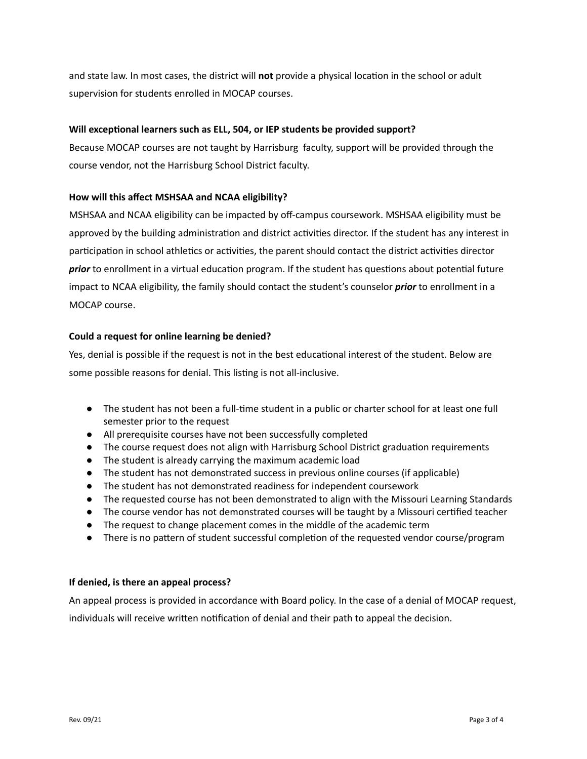and state law. In most cases, the district will **not** provide a physical location in the school or adult supervision for students enrolled in MOCAP courses.

## **Will** exceptional learners such as ELL, 504, or IEP students be provided support?

Because MOCAP courses are not taught by Harrisburg faculty, support will be provided through the course vendor, not the Harrisburg School District faculty.

## **How will this affect MSHSAA and NCAA eligibility?**

MSHSAA and NCAA eligibility can be impacted by off-campus coursework. MSHSAA eligibility must be approved by the building administration and district activities director. If the student has any interest in participation in school athletics or activities, the parent should contact the district activities director *prior* to enrollment in a virtual education program. If the student has questions about potential future impact to NCAA eligibility, the family should contact the student's counselor *prior* to enrollment in a MOCAP course.

## **Could a request for online learning be denied?**

Yes, denial is possible if the request is not in the best educational interest of the student. Below are some possible reasons for denial. This listing is not all-inclusive.

- The student has not been a full-time student in a public or charter school for at least one full semester prior to the request
- All prerequisite courses have not been successfully completed
- The course request does not align with Harrisburg School District graduation requirements
- The student is already carrying the maximum academic load
- The student has not demonstrated success in previous online courses (if applicable)
- The student has not demonstrated readiness for independent coursework
- The requested course has not been demonstrated to align with the Missouri Learning Standards
- The course vendor has not demonstrated courses will be taught by a Missouri certified teacher
- The request to change placement comes in the middle of the academic term
- There is no pattern of student successful completion of the requested vendor course/program

#### **If denied, is there an appeal process?**

An appeal process is provided in accordance with Board policy. In the case of a denial of MOCAP request, individuals will receive written notification of denial and their path to appeal the decision.